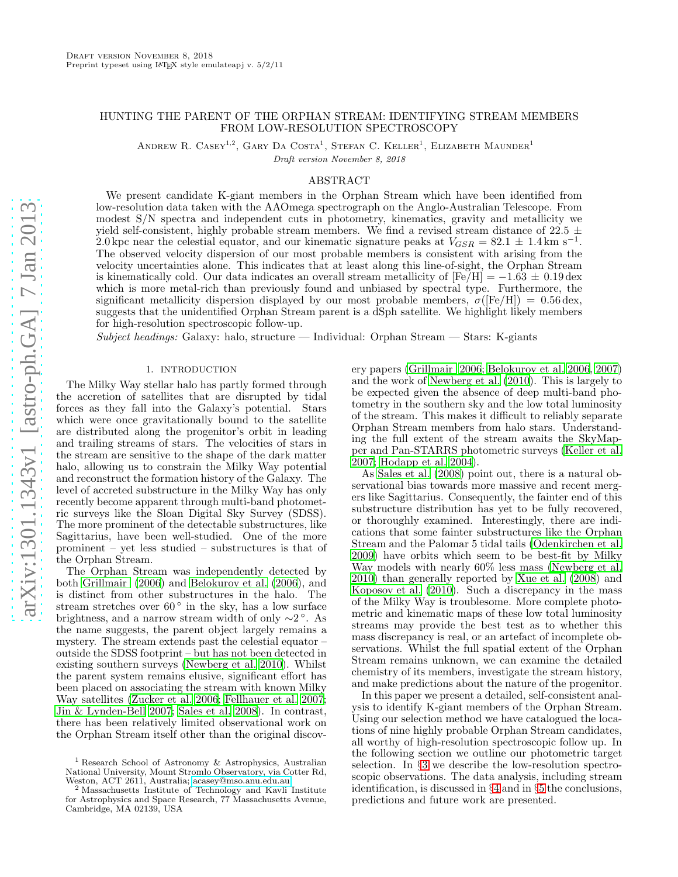# HUNTING THE PARENT OF THE ORPHAN STREAM: IDENTIFYING STREAM MEMBERS FROM LOW-RESOLUTION SPECTROSCOPY

ANDREW R. CASEY<sup>1,2</sup>, GARY DA COSTA<sup>1</sup>, STEFAN C. KELLER<sup>1</sup>, ELIZABETH MAUNDER<sup>1</sup>

Draft version November 8, 2018

# ABSTRACT

We present candidate K-giant members in the Orphan Stream which have been identified from low-resolution data taken with the AAOmega spectrograph on the Anglo-Australian Telescope. From modest S/N spectra and independent cuts in photometry, kinematics, gravity and metallicity we yield self-consistent, highly probable stream members. We find a revised stream distance of 22.5  $\pm$ 2.0 kpc near the celestial equator, and our kinematic signature peaks at  $V_{GSR} = 82.1 \pm 1.4 \text{ km s}^{-1}$ . The observed velocity dispersion of our most probable members is consistent with arising from the velocity uncertainties alone. This indicates that at least along this line-of-sight, the Orphan Stream is kinematically cold. Our data indicates an overall stream metallicity of  $[Fe/H] = -1.63 \pm 0.19$  dex which is more metal-rich than previously found and unbiased by spectral type. Furthermore, the significant metallicity dispersion displayed by our most probable members,  $\sigma(Fe/H) = 0.56$  dex, suggests that the unidentified Orphan Stream parent is a dSph satellite. We highlight likely members for high-resolution spectroscopic follow-up.

*Subject headings:* Galaxy: halo, structure — Individual: Orphan Stream — Stars: K-giants

# 1. INTRODUCTION

The Milky Way stellar halo has partly formed through the accretion of satellites that are disrupted by tidal forces as they fall into the Galaxy's potential. Stars which were once gravitationally bound to the satellite are distributed along the progenitor's orbit in leading and trailing streams of stars. The velocities of stars in the stream are sensitive to the shape of the dark matter halo, allowing us to constrain the Milky Way potential and reconstruct the formation history of the Galaxy. The level of accreted substructure in the Milky Way has only recently become apparent through multi-band photometric surveys like the Sloan Digital Sky Survey (SDSS). The more prominent of the detectable substructures, like Sagittarius, have been well-studied. One of the more prominent – yet less studied – substructures is that of the Orphan Stream.

The Orphan Stream was independently detected by both [Grillmair \(2006](#page-5-0)) and [Belokurov et al. \(2006\)](#page-5-1), and is distinct from other substructures in the halo. The stream stretches over  $60^\circ$  in the sky, has a low surface brightness, and a narrow stream width of only  $\sim$ 2<sup>°</sup>. As the name suggests, the parent object largely remains a mystery. The stream extends past the celestial equator – outside the SDSS footprint – but has not been detected in existing southern surveys [\(Newberg et al. 2010\)](#page-5-2). Whilst the parent system remains elusive, significant effort has been placed on associating the stream with known Milky Way satellites [\(Zucker et al. 2006;](#page-5-3) [Fellhauer et al. 2007;](#page-5-4) [Jin & Lynden-Bell 2007](#page-5-5); [Sales et al. 2008](#page-5-6)). In contrast, there has been relatively limited observational work on the Orphan Stream itself other than the original discovery papers [\(Grillmair 2006](#page-5-0); [Belokurov et al. 2006,](#page-5-1) [2007](#page-5-7)) and the work of [Newberg et al. \(2010\)](#page-5-2). This is largely to be expected given the absence of deep multi-band photometry in the southern sky and the low total luminosity of the stream. This makes it difficult to reliably separate Orphan Stream members from halo stars. Understanding the full extent of the stream awaits the SkyMapper and Pan-STARRS photometric surveys [\(Keller et al.](#page-5-8) [2007;](#page-5-8) [Hodapp et al. 2004\)](#page-5-9).

As [Sales et al. \(2008\)](#page-5-6) point out, there is a natural observational bias towards more massive and recent mergers like Sagittarius. Consequently, the fainter end of this substructure distribution has yet to be fully recovered, or thoroughly examined. Interestingly, there are indications that some fainter substructures like the Orphan Stream and the Palomar 5 tidal tails [\(Odenkirchen et al.](#page-5-10) [2009\)](#page-5-10) have orbits which seem to be best-fit by Milky Way models with nearly 60% less mass [\(Newberg et al.](#page-5-2) [2010\)](#page-5-2) than generally reported by [Xue et al. \(2008](#page-5-11)) and [Koposov et al. \(2010\)](#page-5-12). Such a discrepancy in the mass of the Milky Way is troublesome. More complete photometric and kinematic maps of these low total luminosity streams may provide the best test as to whether this mass discrepancy is real, or an artefact of incomplete observations. Whilst the full spatial extent of the Orphan Stream remains unknown, we can examine the detailed chemistry of its members, investigate the stream history, and make predictions about the nature of the progenitor.

In this paper we present a detailed, self-consistent analysis to identify K-giant members of the Orphan Stream. Using our selection method we have catalogued the locations of nine highly probable Orphan Stream candidates, all worthy of high-resolution spectroscopic follow up. In the following section we outline our photometric target selection. In §[3](#page-1-0) we describe the low-resolution spectroscopic observations. The data analysis, including stream identification, is discussed in §[4](#page-1-1) and in §[5](#page-4-0) the conclusions, predictions and future work are presented.

<sup>1</sup> Research School of Astronomy & Astrophysics, Australian National University, Mount Stromlo Observatory, via Cotter Rd, Weston, ACT 2611, Australia; [acasey@mso.anu.edu.au](mailto:acasey@mso.anu.edu.au)<br>
<sup>2</sup>Mescochus that the third is a casey@mso.anu.edu.au

<sup>2</sup> Massachusetts Institute of Technology and Kavli Institute for Astrophysics and Space Research, 77 Massachusetts Avenue, Cambridge, MA 02139, USA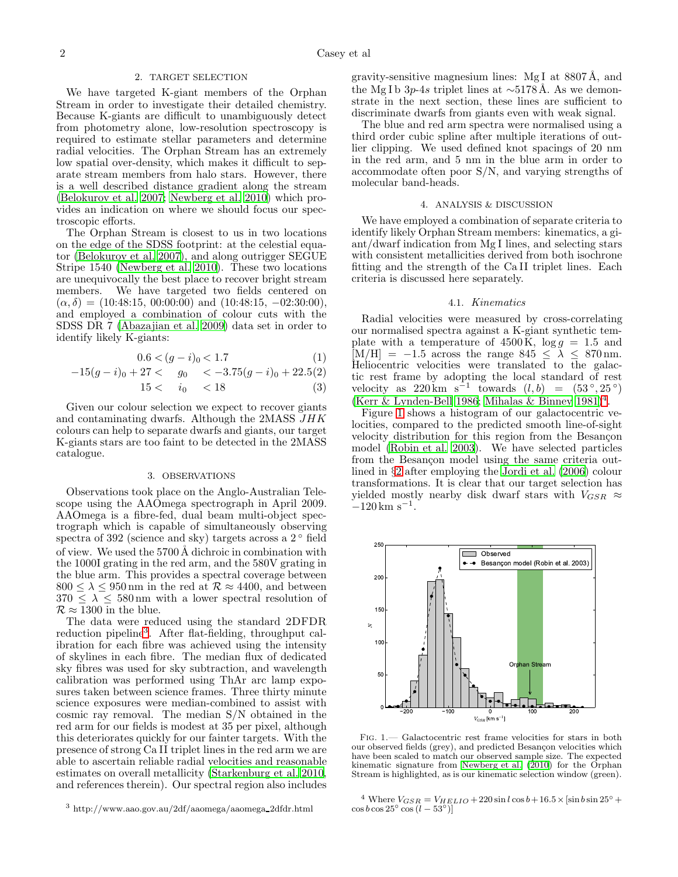### 2. TARGET SELECTION

<span id="page-1-5"></span>We have targeted K-giant members of the Orphan Stream in order to investigate their detailed chemistry. Because K-giants are difficult to unambiguously detect from photometry alone, low-resolution spectroscopy is required to estimate stellar parameters and determine radial velocities. The Orphan Stream has an extremely low spatial over-density, which makes it difficult to separate stream members from halo stars. However, there is a well described distance gradient along the stream [\(Belokurov et al. 2007;](#page-5-7) [Newberg et al. 2010](#page-5-2)) which provides an indication on where we should focus our spectroscopic efforts.

The Orphan Stream is closest to us in two locations on the edge of the SDSS footprint: at the celestial equator [\(Belokurov et al. 2007\)](#page-5-7), and along outrigger SEGUE Stripe 1540 [\(Newberg et al. 2010\)](#page-5-2). These two locations are unequivocally the best place to recover bright stream members. We have targeted two fields centered on  $(\alpha, \delta) = (10:48:15, 00:00:00)$  and  $(10:48:15, -02:30:00)$ , and employed a combination of colour cuts with the SDSS DR 7 [\(Abazajian et al. 2009\)](#page-5-13) data set in order to identify likely K-giants:

$$
0.6 < (g - i)_0 < 1.7 \tag{1}
$$

$$
-15(g-i)_0 + 27 < g_0 < -3.75(g-i)_0 + 22.5(2)
$$

$$
15 < i_0 < 18 \tag{3}
$$

Given our colour selection we expect to recover giants and contaminating dwarfs. Although the 2MASS JHK colours can help to separate dwarfs and giants, our target K-giants stars are too faint to be detected in the 2MASS catalogue.

### 3. OBSERVATIONS

<span id="page-1-0"></span>Observations took place on the Anglo-Australian Telescope using the AAOmega spectrograph in April 2009. AAOmega is a fibre-fed, dual beam multi-object spectrograph which is capable of simultaneously observing spectra of 392 (science and sky) targets across a 2<sup>°</sup> field of view. We used the 5700 Å dichroic in combination with the 1000I grating in the red arm, and the 580V grating in the blue arm. This provides a spectral coverage between  $800 \leq \lambda \leq 950 \,\mathrm{nm}$  in the red at  $\mathcal{R} \approx 4400$ , and between  $370 \leq \lambda \leq 580 \,\mathrm{nm}$  with a lower spectral resolution of  $\mathcal{R} \approx 1300$  in the blue.

The data were reduced using the standard 2DFDR reduction pipeline<sup>[3](#page-1-2)</sup>. After flat-fielding, throughput calibration for each fibre was achieved using the intensity of skylines in each fibre. The median flux of dedicated sky fibres was used for sky subtraction, and wavelength calibration was performed using ThAr arc lamp exposures taken between science frames. Three thirty minute science exposures were median-combined to assist with cosmic ray removal. The median S/N obtained in the red arm for our fields is modest at 35 per pixel, although this deteriorates quickly for our fainter targets. With the presence of strong Ca II triplet lines in the red arm we are able to ascertain reliable radial velocities and reasonable estimates on overall metallicity [\(Starkenburg et al. 2010,](#page-5-14) and references therein). Our spectral region also includes

gravity-sensitive magnesium lines:  $MgI$  at 8807 Å, and the Mg I b 3p-4s triplet lines at  $\sim$ 5178Å. As we demonstrate in the next section, these lines are sufficient to discriminate dwarfs from giants even with weak signal.

The blue and red arm spectra were normalised using a third order cubic spline after multiple iterations of outlier clipping. We used defined knot spacings of 20 nm in the red arm, and 5 nm in the blue arm in order to accommodate often poor S/N, and varying strengths of molecular band-heads.

#### 4. ANALYSIS & DISCUSSION

<span id="page-1-1"></span>We have employed a combination of separate criteria to identify likely Orphan Stream members: kinematics, a giant/dwarf indication from Mg I lines, and selecting stars with consistent metallicities derived from both isochrone fitting and the strength of the Ca II triplet lines. Each criteria is discussed here separately.

### 4.1. *Kinematics*

Radial velocities were measured by cross-correlating our normalised spectra against a K-giant synthetic template with a temperature of  $4500 \text{ K}$ ,  $\log g = 1.5$  and  $[M/H] = -1.5$  across the range 845  $\leq \lambda \leq 870$  nm. Heliocentric velocities were translated to the galactic rest frame by adopting the local standard of rest velocity as  $220 \text{ km s}^{-1}$  towards  $(l, b) = (53^{\circ}, 25^{\circ})$ [\(Kerr & Lynden-Bell 1986;](#page-5-15) [Mihalas & Binney 1981\)](#page-5-16)<sup>[4](#page-1-3)</sup>.

Figure [1](#page-1-4) shows a histogram of our galactocentric velocities, compared to the predicted smooth line-of-sight velocity distribution for this region from the Besançon model [\(Robin et al. 2003\)](#page-5-17). We have selected particles from the Besançon model using the same criteria outlined in §[2](#page-1-5) after employing the [Jordi et al. \(2006](#page-5-18)) colour transformations. It is clear that our target selection has yielded mostly nearby disk dwarf stars with  $V_{GSR} \approx$  $-120 \,\mathrm{km \ s^{-1}}$ .



<span id="page-1-4"></span>Fig. 1.— Galactocentric rest frame velocities for stars in both our observed fields (grey), and predicted Besançon velocities which have been scaled to match our observed sample size. The expected kinematic signature from Newberg et al.  $(2010)$  for the Orphan Stream is highlighted, as is our kinematic selection window (green).

<span id="page-1-3"></span><sup>4</sup> Where  $V_{GSR} = V_{HELIO} + 220 \sin l \cos l + 16.5 \times [\sin l \sin 25^{\circ} +$  $\cos b \cos 25^\circ \cos (l - 53^\circ)$ 

<span id="page-1-2"></span> $^3$ http://www.aao.gov.au/2df/aaomega/aaomega\_2dfdr.html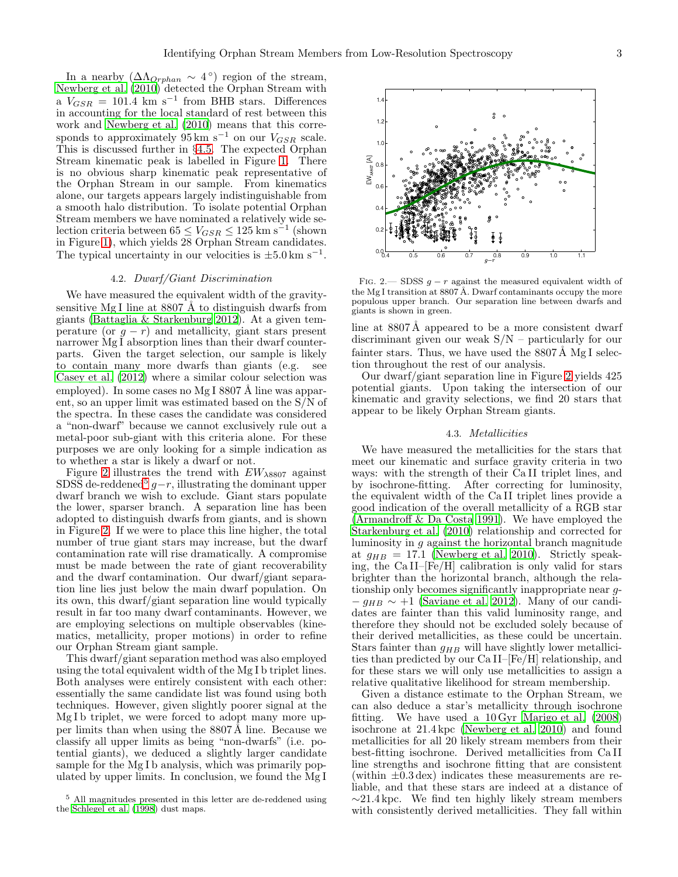In a nearby  $(\Delta \Lambda_{Orphan} \sim 4^{\circ})$  region of the stream, [Newberg et al. \(2010\)](#page-5-2) detected the Orphan Stream with a  $V_{GSR}$  = 101.4 km s<sup>-1</sup> from BHB stars. Differences in accounting for the local standard of rest between this work and [Newberg et al. \(2010\)](#page-5-2) means that this corresponds to approximately  $95 \text{ km/s}^{-1}$  on our  $V_{GSR}$  scale. This is discussed further in §[4.5.](#page-3-0) The expected Orphan Stream kinematic peak is labelled in Figure [1.](#page-1-4) There is no obvious sharp kinematic peak representative of the Orphan Stream in our sample. From kinematics alone, our targets appears largely indistinguishable from a smooth halo distribution. To isolate potential Orphan Stream members we have nominated a relatively wide selection criteria between  $65 \leq V_{GSR} \leq 125 \text{ km s}^{-1}$  (shown in Figure [1\)](#page-1-4), which yields 28 Orphan Stream candidates. The typical uncertainty in our velocities is  $\pm 5.0 \text{ km s}^{-1}$ .

# 4.2. *Dwarf/Giant Discrimination*

We have measured the equivalent width of the gravitysensitive Mg I line at  $8807$  Å to distinguish dwarfs from giants [\(Battaglia & Starkenburg 2012\)](#page-5-19). At a given temperature (or  $g - r$ ) and metallicity, giant stars present narrower Mg I absorption lines than their dwarf counterparts. Given the target selection, our sample is likely to contain many more dwarfs than giants (e.g. see [Casey et al. \(2012\)](#page-5-20) where a similar colour selection was employed). In some cases no Mg I 8807 Å line was apparent, so an upper limit was estimated based on the S/N of the spectra. In these cases the candidate was considered a "non-dwarf" because we cannot exclusively rule out a metal-poor sub-giant with this criteria alone. For these purposes we are only looking for a simple indication as to whether a star is likely a dwarf or not.

Figure [2](#page-2-0) illustrates the trend with  $EW<sub>\lambda8807</sub>$  against SDSS de-reddened<sup>[5](#page-2-1)</sup>  $g-r$ , illustrating the dominant upper dwarf branch we wish to exclude. Giant stars populate the lower, sparser branch. A separation line has been adopted to distinguish dwarfs from giants, and is shown in Figure [2.](#page-2-0) If we were to place this line higher, the total number of true giant stars may increase, but the dwarf contamination rate will rise dramatically. A compromise must be made between the rate of giant recoverability and the dwarf contamination. Our dwarf/giant separation line lies just below the main dwarf population. On its own, this dwarf/giant separation line would typically result in far too many dwarf contaminants. However, we are employing selections on multiple observables (kinematics, metallicity, proper motions) in order to refine our Orphan Stream giant sample.

This dwarf/giant separation method was also employed using the total equivalent width of the Mg I b triplet lines. Both analyses were entirely consistent with each other: essentially the same candidate list was found using both techniques. However, given slightly poorer signal at the Mg<sub>I</sub> b triplet, we were forced to adopt many more upper limits than when using the  $8807 \text{\AA}$  line. Because we classify all upper limits as being "non-dwarfs" (i.e. potential giants), we deduced a slightly larger candidate sample for the Mg I b analysis, which was primarily populated by upper limits. In conclusion, we found the Mg I

<span id="page-2-0"></span>FIG. 2.— SDSS  $g - r$  against the measured equivalent width of the Mg I transition at 8807 Å. Dwarf contaminants occupy the more populous upper branch. Our separation line between dwarfs and giants is shown in green.

line at 8807Å appeared to be a more consistent dwarf discriminant given our weak S/N – particularly for our fainter stars. Thus, we have used the  $8807 \text{\AA}$  Mg I selection throughout the rest of our analysis.

Our dwarf/giant separation line in Figure [2](#page-2-0) yields 425 potential giants. Upon taking the intersection of our kinematic and gravity selections, we find 20 stars that appear to be likely Orphan Stream giants.

## 4.3. *Metallicities*

We have measured the metallicities for the stars that meet our kinematic and surface gravity criteria in two ways: with the strength of their Ca II triplet lines, and by isochrone-fitting. After correcting for luminosity, the equivalent width of the Ca II triplet lines provide a good indication of the overall metallicity of a RGB star [\(Armandroff & Da Costa 1991\)](#page-5-22). We have employed the [Starkenburg et al. \(2010\)](#page-5-14) relationship and corrected for luminosity in g against the horizontal branch magnitude at  $g_{HB} = 17.1$  [\(Newberg et al. 2010\)](#page-5-2). Strictly speaking, the Ca II–[Fe/H] calibration is only valid for stars brighter than the horizontal branch, although the relationship only becomes significantly inappropriate near g-  $-g_{HB} \sim +1$  [\(Saviane et al. 2012\)](#page-5-23). Many of our candidates are fainter than this valid luminosity range, and therefore they should not be excluded solely because of their derived metallicities, as these could be uncertain. Stars fainter than  $g_{HB}$  will have slightly lower metallicities than predicted by our Ca II–[Fe/H] relationship, and for these stars we will only use metallicities to assign a relative qualitative likelihood for stream membership.

Given a distance estimate to the Orphan Stream, we can also deduce a star's metallicity through isochrone fitting. We have used a 10 Gyr [Marigo et al. \(2008](#page-5-24)) isochrone at 21.4 kpc [\(Newberg et al. 2010\)](#page-5-2) and found metallicities for all 20 likely stream members from their best-fitting isochrone. Derived metallicities from Ca II line strengths and isochrone fitting that are consistent (within  $\pm 0.3 \,\text{dex}$ ) indicates these measurements are reliable, and that these stars are indeed at a distance of  $\sim$ 21.4 kpc. We find ten highly likely stream members with consistently derived metallicities. They fall within



<span id="page-2-1"></span><sup>5</sup> All magnitudes presented in this letter are de-reddened using the [Schlegel et al. \(1998](#page-5-21)) dust maps.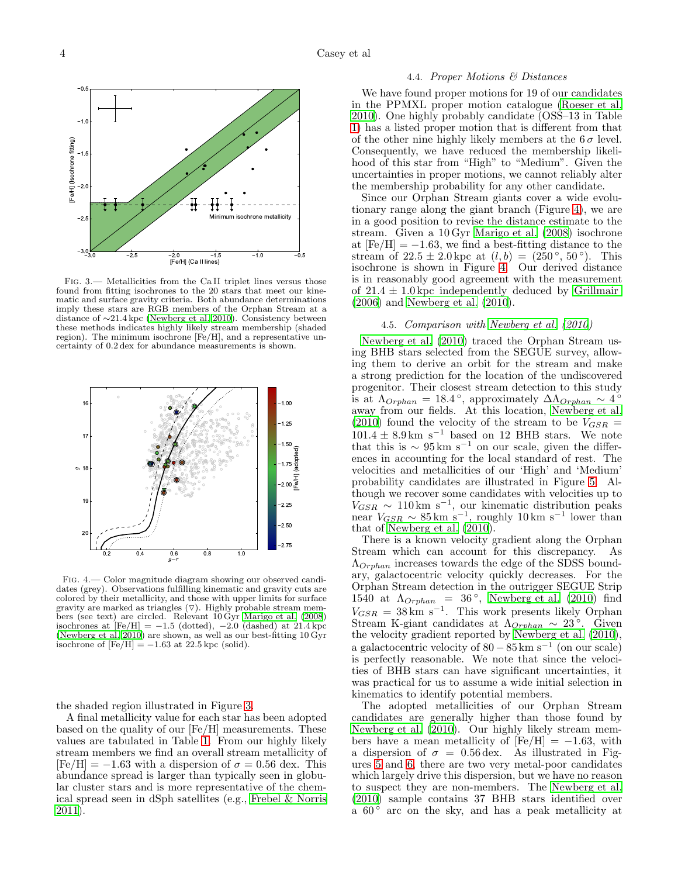

<span id="page-3-1"></span>Fig. 3.— Metallicities from the Ca II triplet lines versus those found from fitting isochrones to the 20 stars that meet our kinematic and surface gravity criteria. Both abundance determinations imply these stars are RGB members of the Orphan Stream at a distance of ∼21.4 kpc [\(Newberg et al. 2010](#page-5-2)). Consistency between these methods indicates highly likely stream membership (shaded region). The minimum isochrone [Fe/H], and a representative uncertainty of 0.2 dex for abundance measurements is shown.



<span id="page-3-2"></span>Fig. 4.— Color magnitude diagram showing our observed candidates (grey). Observations fulfilling kinematic and gravity cuts are colored by their metallicity, and those with upper limits for surface gravity are marked as triangles  $(\nabla)$ . Highly probable stream members (see text) are circled. Relevant 10 Gyr [Marigo et al. \(2008\)](#page-5-24) isochrones at  $[Fe/H] = -1.5$  (dotted),  $-2.0$  (dashed) at 21.4 kpc [\(Newberg et al. 2010\)](#page-5-2) are shown, as well as our best-fitting 10 Gyr isochrone of  $[Fe/H] = -1.63$  at 22.5 kpc (solid).

the shaded region illustrated in Figure [3.](#page-3-1)

A final metallicity value for each star has been adopted based on the quality of our [Fe/H] measurements. These values are tabulated in Table [1.](#page-4-1) From our highly likely stream members we find an overall stream metallicity of  $[Fe/H] = -1.63$  with a dispersion of  $\sigma = 0.56$  dex. This abundance spread is larger than typically seen in globular cluster stars and is more representative of the chemical spread seen in dSph satellites (e.g., [Frebel & Norris](#page-5-25) [2011\)](#page-5-25).

### 4.4. *Proper Motions & Distances*

We have found proper motions for 19 of our candidates in the PPMXL proper motion catalogue [\(Roeser et al.](#page-5-26) [2010\)](#page-5-26). One highly probably candidate (OSS–13 in Table [1\)](#page-4-1) has a listed proper motion that is different from that of the other nine highly likely members at the  $6\sigma$  level. Consequently, we have reduced the membership likelihood of this star from "High" to "Medium". Given the uncertainties in proper motions, we cannot reliably alter the membership probability for any other candidate.

Since our Orphan Stream giants cover a wide evolutionary range along the giant branch (Figure [4\)](#page-3-2), we are in a good position to revise the distance estimate to the stream. Given a 10 Gyr [Marigo et al. \(2008](#page-5-24)) isochrone at  $[Fe/H] = -1.63$ , we find a best-fitting distance to the stream of  $22.5 \pm 2.0$  kpc at  $(l, b) = (250^{\circ}, 50^{\circ})$ . This isochrone is shown in Figure [4.](#page-3-2) Our derived distance is in reasonably good agreement with the measurement of  $21.4 \pm 1.0$  kpc independently deduced by [Grillmair](#page-5-0) [\(2006\)](#page-5-0) and [Newberg et al. \(2010\)](#page-5-2).

## 4.5. *Comparison with [Newberg et al. \(2010](#page-5-2))*

<span id="page-3-0"></span>[Newberg et al. \(2010\)](#page-5-2) traced the Orphan Stream using BHB stars selected from the SEGUE survey, allowing them to derive an orbit for the stream and make a strong prediction for the location of the undiscovered progenitor. Their closest stream detection to this study is at  $\Lambda_{Orphan} = 18.4^{\circ}$ , approximately  $\Delta\Lambda_{Orphan} \sim 4^{\circ}$ away from our fields. At this location, [Newberg et al.](#page-5-2) [\(2010\)](#page-5-2) found the velocity of the stream to be  $V_{GSR}$  =  $101.4 \pm 8.9 \text{ km s}^{-1}$  based on 12 BHB stars. We note that this is  $\sim 95 \,\mathrm{km \ s^{-1}}$  on our scale, given the differences in accounting for the local standard of rest. The velocities and metallicities of our 'High' and 'Medium' probability candidates are illustrated in Figure [5.](#page-4-2) Although we recover some candidates with velocities up to  $V_{GSR} \sim 110 \text{ km s}^{-1}$ , our kinematic distribution peaks<br>near  $V_{GSR} \sim 85 \text{ km s}^{-1}$ , roughly 10 km s<sup>-1</sup> lower than that of Newberg et al.  $(2010)$ .

There is a known velocity gradient along the Orphan Stream which can account for this discrepancy. As  $\Lambda_{Orphan}$  increases towards the edge of the SDSS boundary, galactocentric velocity quickly decreases. For the Orphan Stream detection in the outrigger SEGUE Strip 1540 at  $\Lambda_{Orphan} = 36^\circ$ , [Newberg et al. \(2010\)](#page-5-2) find  $V_{GSR} = 38 \text{ km s}^{-1}$ . This work presents likely Orphan Stream K-giant candidates at  $\Lambda_{Orphan} \sim 23^{\circ}$ . Given the velocity gradient reported by [Newberg et al. \(2010](#page-5-2)), a galactocentric velocity of  $80 - 85 \text{ km s}^{-1}$  (on our scale) is perfectly reasonable. We note that since the velocities of BHB stars can have significant uncertainties, it was practical for us to assume a wide initial selection in kinematics to identify potential members.

The adopted metallicities of our Orphan Stream candidates are generally higher than those found by [Newberg et al. \(2010\)](#page-5-2). Our highly likely stream members have a mean metallicity of  $[Fe/H] = -1.63$ , with a dispersion of  $\sigma = 0.56 \,\text{dex}$ . As illustrated in Figures [5](#page-4-2) and [6,](#page-4-3) there are two very metal-poor candidates which largely drive this dispersion, but we have no reason to suspect they are non-members. The [Newberg et al.](#page-5-2) [\(2010\)](#page-5-2) sample contains 37 BHB stars identified over a  $60^\circ$  arc on the sky, and has a peak metallicity at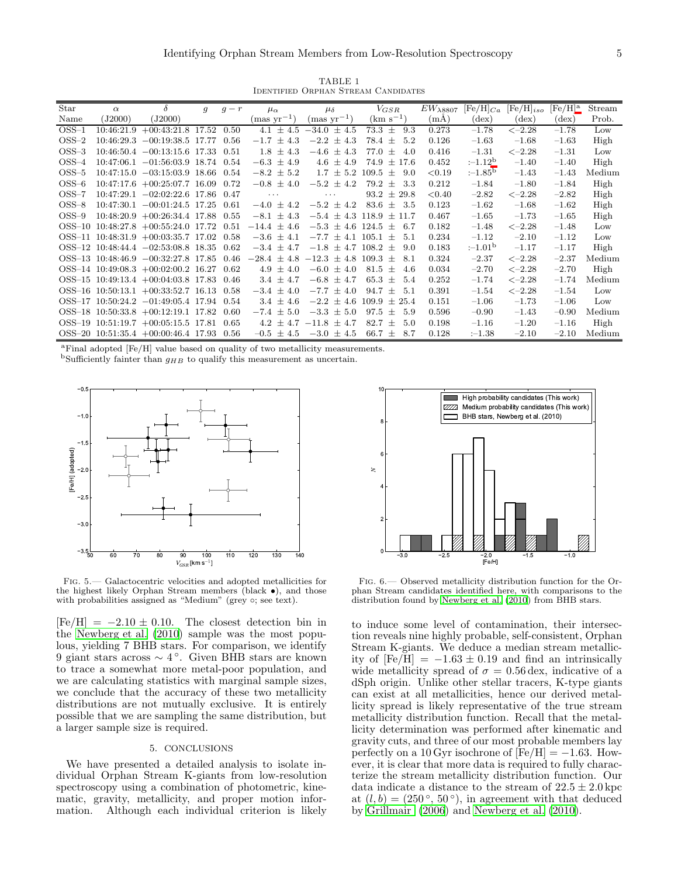TABLE 1 Identified Orphan Stream Candidates

<span id="page-4-1"></span>

| Star                      | $\alpha$   | $\delta$                                | q     | $q - r$ | $\mu_{\alpha}$         | $\mu_{\delta}$             | $V_{GSR}$              | $EW_{\lambda8807}$ | $[{\rm Fe}/{\rm H}]_{Ca}$ | $[Fe/H]_{iso}$ | $[Fe/H]^a$     | Stream |
|---------------------------|------------|-----------------------------------------|-------|---------|------------------------|----------------------------|------------------------|--------------------|---------------------------|----------------|----------------|--------|
| Name                      | J2000      | (J2000)                                 |       |         | $\text{(mas yr}^{-1})$ | $\text{(mas yr}^{-1})$     | $\rm (km \ s^{-1})$    | (mA)               | $(\text{dex})$            | $(\text{dex})$ | $(\text{dex})$ | Prob.  |
| $\text{OSS}-1$            | 10:46:21.9 | $+00:43:21.8$ 17.52                     |       | 0.50    | 4.1 $\pm$ 4.5          | $-34.0 \pm 4.5$            | 73.3<br>$\pm$<br>9.3   | 0.273              | $-1.78$                   | $<-2.28$       | $-1.78$        | Low    |
| $\text{OSS}-2$            | 10:46:29.3 | $-00:19:38.5$                           | 17.77 | 0.56    | $-1.7$<br>$\pm$ 4.3    | $-2.2 \pm 4.3$             | 78.4<br>5.2<br>$^{+}$  | 0.126              | $-1.63$                   | $-1.68$        | $-1.63$        | High   |
| $\text{OSS}-3$            |            | $10:46:50.4 -00:13:15.6$ 17.33          |       | 0.51    | $1.8 \pm 4.3$          | $-4.6 \pm 4.3$             | 77.0<br>$\pm$<br>4.0   | 0.416              | $-1.31$                   | $<-2.28$       | $-1.31$        | Low    |
| $OSS-4$                   |            | $10:47:06.1 -01:56:03.9$ 18.74          |       | 0.54    | $-6.3 \pm 4.9$         | 4.6<br>$\pm$ 4.9           | 74.9<br>$\pm$ 17.6     | 0.452              | $:-1.12b$                 | $-1.40$        | $-1.40$        | High   |
| $\text{OSS}\text{-}5$     |            | $10:47:15.0$ $-03:15:03.9$ 18.66        |       | 0.54    | $-8.2 \pm 5.2$         | $\pm 5.2$<br>1.7           | 109.5<br>$^{+}$<br>9.0 | < 0.19             | $:-1.85^{\circ}$          | $-1.43$        | $-1.43$        | Medium |
| $OSS-6$                   |            | $10:47:17.6 +00:25:07.7$ 16.09          |       | 0.72    | $-0.8$<br>$\pm$ 4.0    | $-5.2 \pm 4.2$             | 79.2<br>3.3<br>士       | 0.212              | $-1.84$                   | $-1.80$        | $-1.84$        | High   |
| $OSS-7$                   |            | $10:47:29.1 -02:02:22.6$ 17.86          |       | 0.47    | $\cdots$               | $\cdots$                   | $93.2 \pm 29.8$        | < 0.40             | $-2.82$                   | $<-2.28$       | $-2.82$        | High   |
| $OSS-8$                   |            | $10:47:30.1 -00:01:24.5$ 17.25          |       | 0.61    | $-4.0$<br>$\pm$ 4.2    | $-5.2 \pm 4.2$             | 83.6<br>-3.5<br>$+$    | 0.123              | $-1.62$                   | $-1.68$        | $-1.62$        | High   |
| $OSS-9$                   |            | $10:48:20.9 +00:26:34.4$ 17.88          |       | 0.55    | $-8.1 \pm 4.3$         | $-5.4 \pm 4.3$ 118.9       | $+11.7$                | 0.467              | $-1.65$                   | $-1.73$        | $-1.65$        | High   |
| $OSS-10$                  |            | $10:48:27.8 +00:55:24.0$ 17.72          |       | 0.51    | $-14.4 \pm 4.6$        | $-5.3 \pm 4.6$ 124.5       | 6.7<br>士               | 0.182              | $-1.48$                   | $<-2.28$       | $-1.48$        | Low    |
| $OSS-11$                  |            | $10:48:31.9 +00:03:35.7$ 17.02          |       | 0.58    | $-3.6 \pm 4.1$         | $-7.7 \pm 4.1$             | 105.1<br>5.1<br>$^{+}$ | 0.234              | $-1.12$                   | $-2.10$        | $-1.12$        | Low    |
|                           |            | $OSS-12$ 10:48:44.4 $-02:53:08.8$ 18.35 |       | 0.62    | $-3.4 \pm 4.7$         | $-1.8 \pm 4.7$ 108.2 $\pm$ | 9.0                    | 0.183              | $:-1.01b$                 | $-1.17$        | $-1.17$        | High   |
|                           |            | $OSS-13$ 10:48:46.9 $-00:32:27.8$ 17.85 |       | 0.46    | $-28.4 \pm 4.8$        | $-12.3 \pm 4.8$            | 109.3<br>8.1<br>$^{+}$ | 0.324              | $-2.37$                   | $<-2.28$       | $-2.37$        | Medium |
|                           |            | $OSS-14$ 10:49:08.3 $+00:02:00.2$ 16.27 |       | 0.62    | $4.9 \pm$<br>4.0       | $-6.0 \pm 4.0$             | 81.5<br>4.6<br>士       | 0.034              | $-2.70$                   | $<-2.28$       | $-2.70$        | High   |
|                           |            | $OSS-15$ 10:49:13.4 $+00:04:03.8$ 17.83 |       | 0.46    | 3.4 $\pm$ 4.7          | $-6.8 \pm 4.7$             | 65.3<br>5.4<br>$^{+}$  | 0.252              | $-1.74$                   | $<-2.28$       | $-1.74$        | Medium |
| $OSS-16$                  |            | $10:50:13.1 + 00:33:52.7$ 16.13         |       | 0.58    | $-3.4$<br>$\pm$<br>4.0 | $-7.7 \pm 4.0$             | 94.7<br>5.1<br>$^+$    | 0.391              | $-1.54$                   | $<-2.28$       | $-1.54$        | Low    |
|                           |            | $OSS-17$ 10:50:24.2 $-01:49:05.4$ 17.94 |       | 0.54    | $3.4 \pm 4.6$          | $-2.2 \pm 4.6$             | 109.9<br>$\pm 25.4$    | 0.151              | $-1.06$                   | $-1.73$        | $-1.06$        | Low    |
|                           |            | $OSS-18$ 10:50:33.8 $+00:12:19.1$ 17.82 |       | 0.60    | $-7.4 \pm 5.0$         | $-3.3 \pm 5.0$             | 97.5<br>5.9<br>$+$     | 0.596              | $-0.90$                   | $-1.43$        | $-0.90$        | Medium |
| $\mathrm{OSS}\text{--}19$ |            | $10:51:19.7 +00:05:15.5$ 17.81          |       | 0.65    | $4.2 \pm 4.7$          | $-11.8 \pm 4.7$            | 82.7<br>5.0<br>$^{+}$  | 0.198              | $-1.16$                   | $-1.20$        | $-1.16$        | High   |
|                           |            | $OSS-20$ 10:51:35.4 $+00:00:46.4$ 17.93 |       | 0.56    | $-0.5 \pm 4.5$         | $-3.0 \pm 4.5$             | 66.7<br>$\pm$<br>8.7   | 0.128              | $: -1.38$                 | $-2.10$        | $-2.10$        | Medium |

<sup>a</sup>Final adopted [Fe/H] value based on quality of two metallicity measurements.

<span id="page-4-5"></span><span id="page-4-4"></span><sup>b</sup>Sufficiently fainter than  $g_{HB}$  to qualify this measurement as uncertain.



<span id="page-4-2"></span>Fig. 5.— Galactocentric velocities and adopted metallicities for the highest likely Orphan Stream members (black •), and those with probabilities assigned as "Medium" (grey  $\circ$ ; see text).

 $[Fe/H] = -2.10 \pm 0.10$ . The closest detection bin in the [Newberg et al. \(2010\)](#page-5-2) sample was the most populous, yielding 7 BHB stars. For comparison, we identify 9 giant stars across ∼ 4 ◦ . Given BHB stars are known to trace a somewhat more metal-poor population, and we are calculating statistics with marginal sample sizes, we conclude that the accuracy of these two metallicity distributions are not mutually exclusive. It is entirely possible that we are sampling the same distribution, but a larger sample size is required.

### 5. CONCLUSIONS

<span id="page-4-0"></span>We have presented a detailed analysis to isolate individual Orphan Stream K-giants from low-resolution spectroscopy using a combination of photometric, kinematic, gravity, metallicity, and proper motion information. Although each individual criterion is likely



<span id="page-4-3"></span>Fig. 6.— Observed metallicity distribution function for the Orphan Stream candidates identified here, with comparisons to the distribution found by [Newberg et al. \(2010](#page-5-2)) from BHB stars.

to induce some level of contamination, their intersection reveals nine highly probable, self-consistent, Orphan Stream K-giants. We deduce a median stream metallicity of  $[Fe/H] = -1.63 \pm 0.19$  and find an intrinsically wide metallicity spread of  $\sigma = 0.56$  dex, indicative of a dSph origin. Unlike other stellar tracers, K-type giants can exist at all metallicities, hence our derived metallicity spread is likely representative of the true stream metallicity distribution function. Recall that the metallicity determination was performed after kinematic and gravity cuts, and three of our most probable members lay perfectly on a 10 Gyr isochrone of  $[Fe/H] = -1.63$ . However, it is clear that more data is required to fully characterize the stream metallicity distribution function. Our data indicate a distance to the stream of  $22.5 \pm 2.0$  kpc at  $(l, b) = (250^\circ, 50^\circ)$ , in agreement with that deduced by [Grillmair \(2006\)](#page-5-0) and [Newberg et al. \(2010](#page-5-2)).